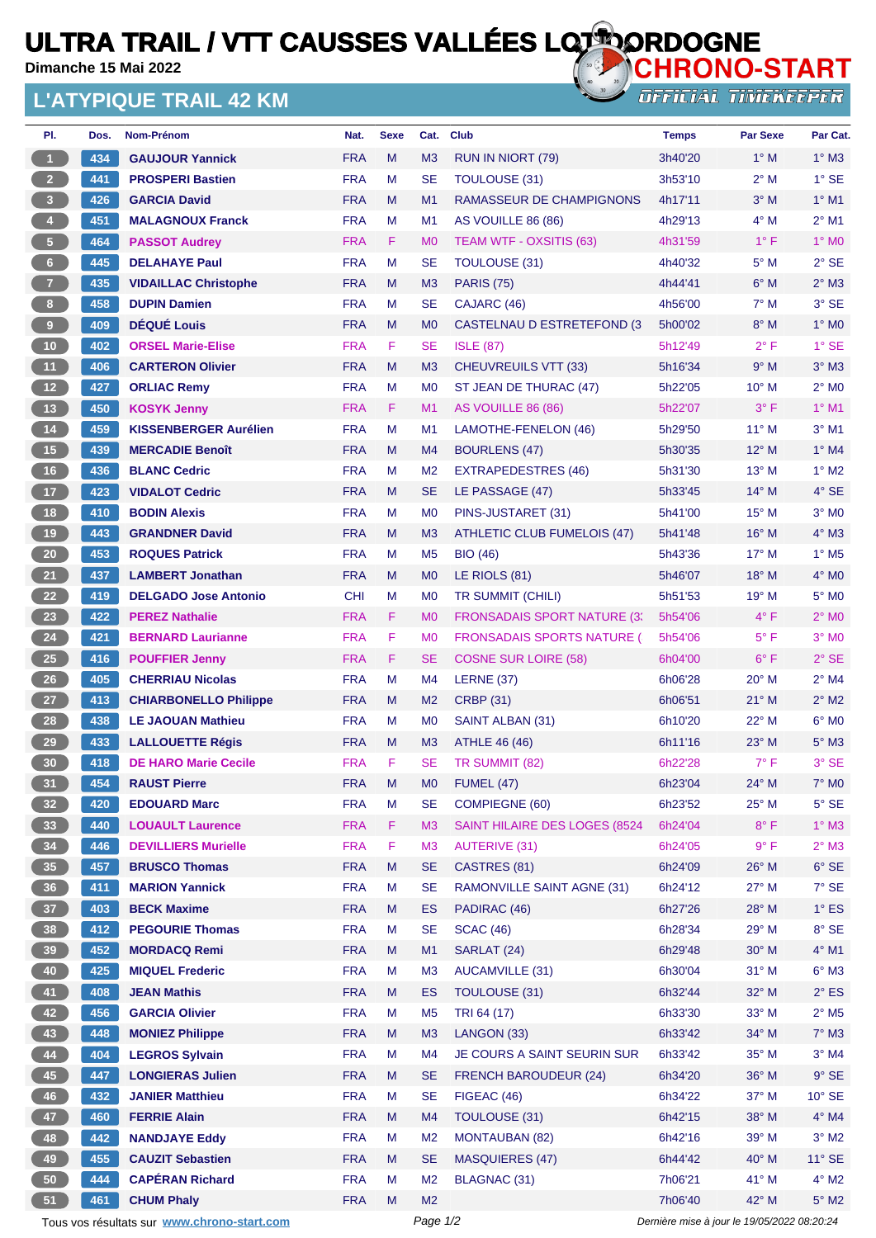## **ULTRA TRAIL / VTT CAUSSES VALLÉES LOTIORDOGNE**

**Dimanche 15 Mai 2022**

## **L'ATYPIQUE TRAIL 42 KM**



| PI.                                         | Dos.     | Nom-Prénom                   | Nat.       | <b>Sexe</b> | Cat.                                        | <b>Club</b>                         | <b>Temps</b> | <b>Par Sexe</b> | Par Cat.                 |
|---------------------------------------------|----------|------------------------------|------------|-------------|---------------------------------------------|-------------------------------------|--------------|-----------------|--------------------------|
| $\blacktriangleleft$                        | 434      | <b>GAUJOUR Yannick</b>       | <b>FRA</b> | M           | M3                                          | RUN IN NIORT (79)                   | 3h40'20      | $1^\circ$ M     | $1^\circ$ M3             |
| $2 -$                                       | 441      | <b>PROSPERI Bastien</b>      | <b>FRA</b> | M           | <b>SE</b>                                   | <b>TOULOUSE (31)</b>                | 3h53'10      | $2^{\circ}$ M   | $1^\circ$ SE             |
| 3 <sup>2</sup>                              | 426      | <b>GARCIA David</b>          | <b>FRA</b> | M           | M1                                          | RAMASSEUR DE CHAMPIGNONS            | 4h17'11      | $3^\circ$ M     | $1^\circ$ M1             |
| $\overline{4}$                              | 451      | <b>MALAGNOUX Franck</b>      | <b>FRA</b> | M           | M <sub>1</sub>                              | AS VOUILLE 86 (86)                  | 4h29'13      | $4^\circ$ M     | $2^{\circ}$ M1           |
| 5 <sub>1</sub>                              | 464      | <b>PASSOT Audrey</b>         | <b>FRA</b> | F           | M <sub>0</sub>                              | <b>TEAM WTF - OXSITIS (63)</b>      | 4h31'59      | $1^{\circ}$ F   | $1^\circ$ MO             |
| 6 <sup>1</sup>                              | 445      | <b>DELAHAYE Paul</b>         | <b>FRA</b> | M           | <b>SE</b>                                   | <b>TOULOUSE (31)</b>                | 4h40'32      | $5^\circ$ M     | $2°$ SE                  |
| 7 <sup>2</sup>                              | 435      | <b>VIDAILLAC Christophe</b>  | <b>FRA</b> | M           | M <sub>3</sub>                              | <b>PARIS (75)</b>                   | 4h44'41      | $6^\circ$ M     | $2^{\circ}$ M3           |
| 8 <sup>1</sup>                              | 458      | <b>DUPIN Damien</b>          | <b>FRA</b> | M           | <b>SE</b>                                   | CAJARC (46)                         | 4h56'00      | $7^\circ$ M     | 3° SE                    |
| 9                                           | 409      | <b>DÉQUÉ Louis</b>           | <b>FRA</b> | M           | M <sub>0</sub>                              | CASTELNAU D ESTRETEFOND (3)         | 5h00'02      | $8^\circ$ M     | $1^\circ$ MO             |
| 10 <sub>1</sub>                             | 402      | <b>ORSEL Marie-Elise</b>     | <b>FRA</b> | F           | <b>SE</b>                                   | <b>ISLE (87)</b>                    | 5h12'49      | $2^{\circ}$ F   | $1°$ SE                  |
| 11 <sub>1</sub>                             | 406      | <b>CARTERON Olivier</b>      | <b>FRA</b> | M           | M <sub>3</sub>                              | CHEUVREUILS VTT (33)                | 5h16'34      | 9° M            | $3^\circ$ M <sub>3</sub> |
| 12 <sup>7</sup>                             | 427      | <b>ORLIAC Remy</b>           | <b>FRA</b> | M           | M <sub>0</sub>                              | ST JEAN DE THURAC (47)              | 5h22'05      | $10^{\circ}$ M  | $2^{\circ}$ MO           |
| 13                                          | 450      | <b>KOSYK Jenny</b>           | <b>FRA</b> | F           | M1                                          | AS VOUILLE 86 (86)                  | 5h22'07      | $3^\circ$ F     | $1^\circ$ M1             |
| 14                                          | 459      | <b>KISSENBERGER Aurélien</b> | <b>FRA</b> | M           | M1                                          | LAMOTHE-FENELON (46)                | 5h29'50      | $11^{\circ}$ M  | $3°$ M1                  |
| 15                                          | 439      | <b>MERCADIE Benoît</b>       | <b>FRA</b> | M           | M4                                          | <b>BOURLENS (47)</b>                | 5h30'35      | $12^{\circ}$ M  | $1^\circ$ M4             |
| 16                                          | 436      | <b>BLANC Cedric</b>          | <b>FRA</b> | M           | M <sub>2</sub>                              | EXTRAPEDESTRES (46)                 | 5h31'30      | 13° M           | $1^\circ$ M2             |
| 17 <sup>2</sup>                             | 423      | <b>VIDALOT Cedric</b>        | <b>FRA</b> | M           | <b>SE</b>                                   | LE PASSAGE (47)                     | 5h33'45      | $14^{\circ}$ M  | $4°$ SE                  |
| 18                                          | 410      | <b>BODIN Alexis</b>          | <b>FRA</b> | M           | M <sub>0</sub>                              | PINS-JUSTARET (31)                  | 5h41'00      | $15^{\circ}$ M  | $3°$ MO                  |
| 19                                          | 443      | <b>GRANDNER David</b>        | <b>FRA</b> | M           | M <sub>3</sub>                              | ATHLETIC CLUB FUMELOIS (47)         | 5h41'48      | $16^{\circ}$ M  | $4^\circ$ M3             |
| 20 <sub>2</sub>                             | 453      | <b>ROQUES Patrick</b>        | <b>FRA</b> | м           | M <sub>5</sub>                              | <b>BIO (46)</b>                     | 5h43'36      | $17^\circ$ M    | $1^\circ$ M <sub>5</sub> |
| 21                                          | 437      | <b>LAMBERT Jonathan</b>      | <b>FRA</b> | M           | M <sub>0</sub>                              | LE RIOLS (81)                       | 5h46'07      | 18° M           | $4^\circ$ MO             |
| 22                                          | 419      | <b>DELGADO Jose Antonio</b>  | <b>CHI</b> | М           | M <sub>0</sub>                              | TR SUMMIT (CHILI)                   | 5h51'53      | $19^{\circ}$ M  | $5^\circ$ MO             |
| 23                                          | 422      | <b>PEREZ Nathalie</b>        | <b>FRA</b> | F           | M <sub>0</sub>                              | <b>FRONSADAIS SPORT NATURE (3)</b>  | 5h54'06      | $4^{\circ}$ F   | $2^{\circ}$ MO           |
| 24                                          | 421      | <b>BERNARD Laurianne</b>     | <b>FRA</b> | F           | M <sub>0</sub>                              | <b>FRONSADAIS SPORTS NATURE (1)</b> | 5h54'06      | $5^{\circ}$ F   | $3°$ MO                  |
| 25 <sub>2</sub>                             | 416      | <b>POUFFIER Jenny</b>        | <b>FRA</b> | F.          | <b>SE</b>                                   | <b>COSNE SUR LOIRE (58)</b>         | 6h04'00      | $6^{\circ}$ F   | $2°$ SE                  |
| 26                                          | 405      | <b>CHERRIAU Nicolas</b>      | <b>FRA</b> | M           | M4                                          | LERNE $(37)$                        | 6h06'28      | $20^{\circ}$ M  | $2^{\circ}$ M4           |
| 27                                          | 413      | <b>CHIARBONELLO Philippe</b> | <b>FRA</b> | М           | M <sub>2</sub>                              | <b>CRBP (31)</b>                    | 6h06'51      | $21^{\circ}$ M  | $2^{\circ}$ M2           |
| 28                                          | 438      | <b>LE JAOUAN Mathieu</b>     | <b>FRA</b> | M           | M0                                          | SAINT ALBAN (31)                    | 6h10'20      | 22° M           | $6^\circ$ MO             |
| 29                                          | 433      | <b>LALLOUETTE Régis</b>      | <b>FRA</b> | M           | M <sub>3</sub>                              | <b>ATHLE 46 (46)</b>                | 6h11'16      | $23^\circ$ M    | $5^\circ$ M3             |
| 30                                          | 418      | <b>DE HARO Marie Cecile</b>  | <b>FRA</b> | F           | <b>SE</b>                                   | TR SUMMIT (82)                      | 6h22'28      | $7^\circ$ F     | 3° SE                    |
| 31                                          | 454      | <b>RAUST Pierre</b>          | <b>FRA</b> | M           | M <sub>0</sub>                              | <b>FUMEL (47)</b>                   | 6h23'04      | 24° M           | $7^\circ$ MO             |
| 32 <sub>2</sub>                             | 420      | <b>EDOUARD Marc</b>          | <b>FRA</b> | M           | <b>SE</b>                                   | COMPIEGNE (60)                      | 6h23'52      | 25° M           | $5^{\circ}$ SE           |
| 33 <sup>°</sup>                             | 440      | <b>LOUAULT Laurence</b>      | <b>FRA</b> | F           | M <sub>3</sub>                              | SAINT HILAIRE DES LOGES (8524       | 6h24'04      | $8^{\circ}$ F   | $1^\circ$ M3             |
| 34                                          | 446      | <b>DEVILLIERS Murielle</b>   | <b>FRA</b> | F           | M <sub>3</sub>                              | <b>AUTERIVE (31)</b>                | 6h24'05      | 9° F            | $2^{\circ}$ M3           |
| 35 <sup>°</sup>                             | 457      | <b>BRUSCO Thomas</b>         | <b>FRA</b> | M           | <b>SE</b>                                   | CASTRES (81)                        | 6h24'09      | $26^{\circ}$ M  | $6^{\circ}$ SE           |
| 36 <sup>°</sup>                             | 411      | <b>MARION Yannick</b>        | <b>FRA</b> | M           | <b>SE</b>                                   | RAMONVILLE SAINT AGNE (31)          | 6h24'12      | 27° M           | 7° SE                    |
| 37 <sub>2</sub>                             | 403      | <b>BECK Maxime</b>           | <b>FRA</b> | M           | <b>ES</b>                                   | PADIRAC (46)                        | 6h27'26      | 28° M           | $1^\circ$ ES             |
| 38                                          | 412      | <b>PEGOURIE Thomas</b>       | <b>FRA</b> | M           | <b>SE</b>                                   | <b>SCAC (46)</b>                    | 6h28'34      | 29° M           | $8^{\circ}$ SE           |
| 39 <sub>o</sub>                             | 452      | <b>MORDACQ Remi</b>          | <b>FRA</b> | M           | M1                                          | SARLAT (24)                         | 6h29'48      | $30^\circ$ M    | $4^\circ$ M1             |
| 40                                          | 425      | <b>MIQUEL Frederic</b>       | <b>FRA</b> | M           | M <sub>3</sub>                              | <b>AUCAMVILLE (31)</b>              | 6h30'04      | $31°$ M         | $6^\circ$ M3             |
| 41                                          | 408      | <b>JEAN Mathis</b>           | <b>FRA</b> | M           | <b>ES</b>                                   | TOULOUSE (31)                       | 6h32'44      | 32° M           | $2^{\circ}$ ES           |
| 42                                          | 456      | <b>GARCIA Olivier</b>        | <b>FRA</b> | M           | M <sub>5</sub>                              | TRI 64 (17)                         | 6h33'30      | 33° M           | $2^{\circ}$ M5           |
| 43                                          | 448      | <b>MONIEZ Philippe</b>       | <b>FRA</b> | M           | M3                                          | LANGON (33)                         | 6h33'42      | $34^{\circ}$ M  | $7^\circ$ M3             |
| 44                                          | 404      | <b>LEGROS Sylvain</b>        | <b>FRA</b> | M           | M4                                          | JE COURS A SAINT SEURIN SUR         | 6h33'42      | $35^\circ$ M    | $3°$ M4                  |
| 45                                          | 447      | <b>LONGIERAS Julien</b>      | <b>FRA</b> | M           | <b>SE</b>                                   | <b>FRENCH BAROUDEUR (24)</b>        | 6h34'20      | 36° M           | $9°$ SE                  |
| 46                                          | 432      | <b>JANIER Matthieu</b>       | <b>FRA</b> | M           | <b>SE</b>                                   | FIGEAC (46)                         | 6h34'22      | $37^\circ$ M    | $10^{\circ}$ SE          |
| 47                                          | 460      | <b>FERRIE Alain</b>          | <b>FRA</b> | M           | M4                                          | TOULOUSE (31)                       | 6h42'15      | 38° M           | $4^\circ$ M4             |
| 48                                          | 442      | <b>NANDJAYE Eddy</b>         | <b>FRA</b> | M           | M <sub>2</sub>                              | <b>MONTAUBAN (82)</b>               | 6h42'16      | 39° M           | $3^\circ$ M2             |
| 49                                          | 455      | <b>CAUZIT Sebastien</b>      | <b>FRA</b> | M           | <b>SE</b>                                   | <b>MASQUIERES (47)</b>              | 6h44'42      | 40° M           | $11^{\circ}$ SE          |
| 50                                          | 444      | <b>CAPÉRAN Richard</b>       | <b>FRA</b> | М           | M <sub>2</sub>                              | BLAGNAC (31)                        | 7h06'21      | 41° M           | $4^\circ$ M2             |
| 51                                          | 461      | <b>CHUM Phaly</b>            | <b>FRA</b> | M           | M <sub>2</sub>                              |                                     | 7h06'40      | 42° M           | $5^\circ$ M2             |
| Tous vos résultats sur www.chrono-start.com | Page 1/2 |                              |            |             | Dernière mise à jour le 19/05/2022 08:20:24 |                                     |              |                 |                          |